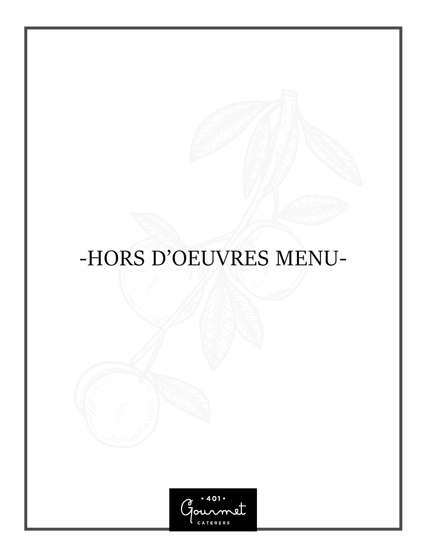# -HORS D'OEUVRES MENU-

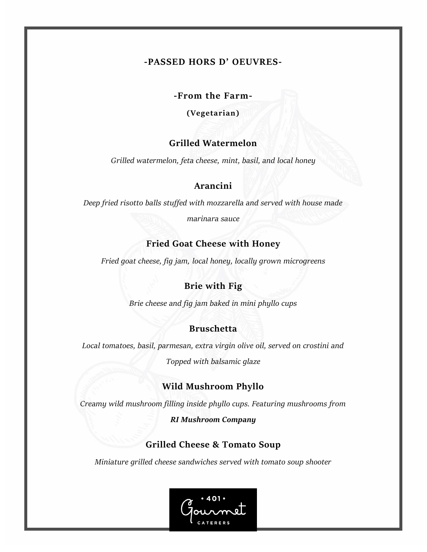#### **-PASSED HORS D' OEUVRES-**

#### **-From the Farm-**

#### **(Vegetarian)**

#### **Grilled Watermelon**

*Grilled watermelon, feta cheese, mint, basil, and local honey*

#### **Arancini**

*Deep fried risotto balls stuffed with mozzarella and served with house made* 

*marinara sauce* 

#### **Fried Goat Cheese with Honey**

*Fried goat cheese, fig jam, local honey, locally grown microgreens*

#### **Brie with Fig**

*Brie cheese and fig jam baked in mini phyllo cups*

#### **Bruschetta**

*Local tomatoes, basil, parmesan, extra virgin olive oil, served on crostini and* 

*Topped with balsamic glaze* 

#### **Wild Mushroom Phyllo**

*Creamy wild mushroom filling inside phyllo cups. Featuring mushrooms from* 

#### *RI Mushroom Company*

#### **Grilled Cheese & Tomato Soup**

*Miniature grilled cheese sandwiches served with tomato soup shooter*

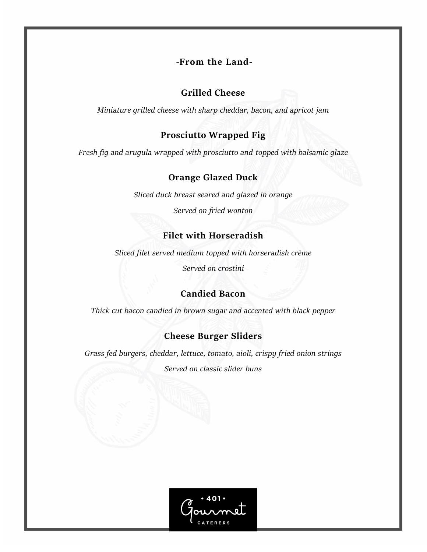#### *-***From the Land-**

## **Grilled Cheese**

*Miniature grilled cheese with sharp cheddar, bacon, and apricot jam*

## **Prosciutto Wrapped Fig**

*Fresh fig and arugula wrapped with prosciutto and topped with balsamic glaze*

## **Orange Glazed Duck**

*Sliced duck breast seared and glazed in orange* 

*Served on fried wonton* 

#### **Filet with Horseradish**

*Sliced filet served medium topped with horseradish crème*

*Served on crostini*

#### **Candied Bacon**

*Thick cut bacon candied in brown sugar and accented with black pepper*

## **Cheese Burger Sliders**

*Grass fed burgers, cheddar, lettuce, tomato, aioli, crispy fried onion strings*

*Served on classic slider buns* 

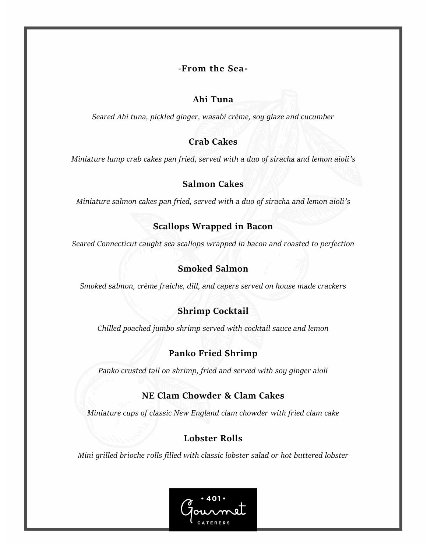## *-***From the Sea-**

#### **Ahi Tuna**

*Seared Ahi tuna, pickled ginger, wasabi crème, soy glaze and cucumber*

## **Crab Cakes**

*Miniature lump crab cakes pan fried, served with a duo of siracha and lemon aioli's*

## **Salmon Cakes**

*Miniature salmon cakes pan fried, served with a duo of siracha and lemon aioli's*

## **Scallops Wrapped in Bacon**

*Seared Connecticut caught sea scallops wrapped in bacon and roasted to perfection* 

## **Smoked Salmon**

*Smoked salmon, crème fraiche, dill, and capers served on house made crackers*

# **Shrimp Cocktail**

*Chilled poached jumbo shrimp served with cocktail sauce and lemon*

## **Panko Fried Shrimp**

*Panko crusted tail on shrimp, fried and served with soy ginger aioli* 

# **NE Clam Chowder & Clam Cakes**

*Miniature cups of classic New England clam chowder with fried clam cake*

## **Lobster Rolls**

*Mini grilled brioche rolls filled with classic lobster salad or hot buttered lobster*